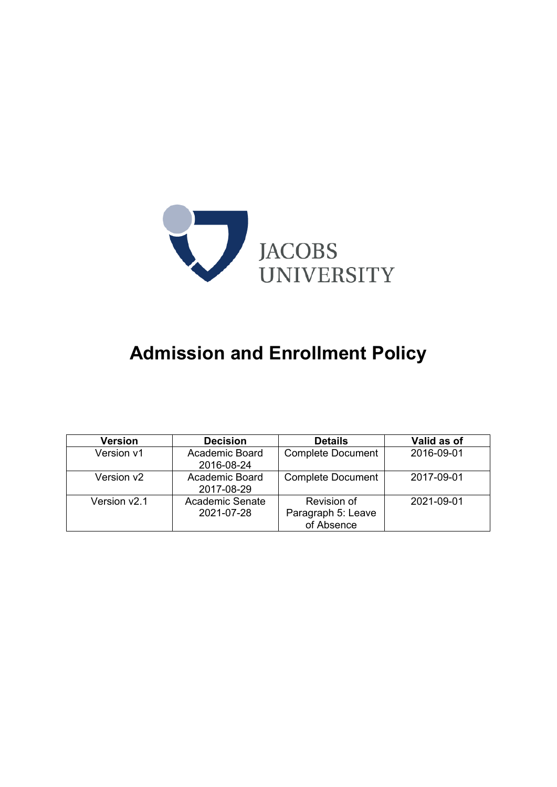

# **Admission and Enrollment Policy**

| <b>Version</b>           | <b>Decision</b>               | <b>Details</b>                                  | Valid as of |
|--------------------------|-------------------------------|-------------------------------------------------|-------------|
| Version v1               | Academic Board<br>2016-08-24  | <b>Complete Document</b>                        | 2016-09-01  |
| Version v <sub>2</sub>   | Academic Board<br>2017-08-29  | <b>Complete Document</b>                        | 2017-09-01  |
| Version v <sub>2.1</sub> | Academic Senate<br>2021-07-28 | Revision of<br>Paragraph 5: Leave<br>of Absence | 2021-09-01  |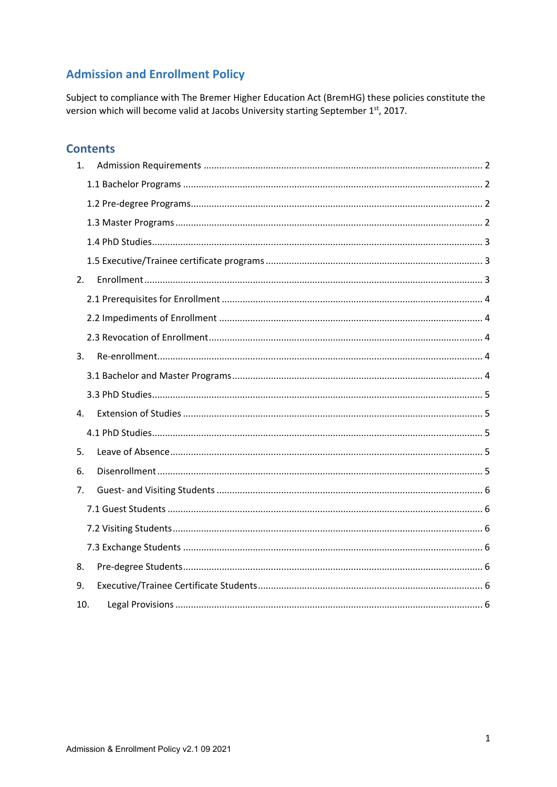# **Admission and Enrollment Policy**

Subject to compliance with The Bremer Higher Education Act (BremHG) these policies constitute the version which will become valid at Jacobs University starting September 1st, 2017.

# **Contents**

| 1.             |  |
|----------------|--|
|                |  |
|                |  |
|                |  |
|                |  |
|                |  |
| 2.             |  |
|                |  |
|                |  |
|                |  |
| 3.             |  |
|                |  |
|                |  |
| 4.             |  |
|                |  |
| 5.             |  |
| 6.             |  |
| 7 <sub>1</sub> |  |
|                |  |
|                |  |
|                |  |
| 8.             |  |
| 9.             |  |
| 10.            |  |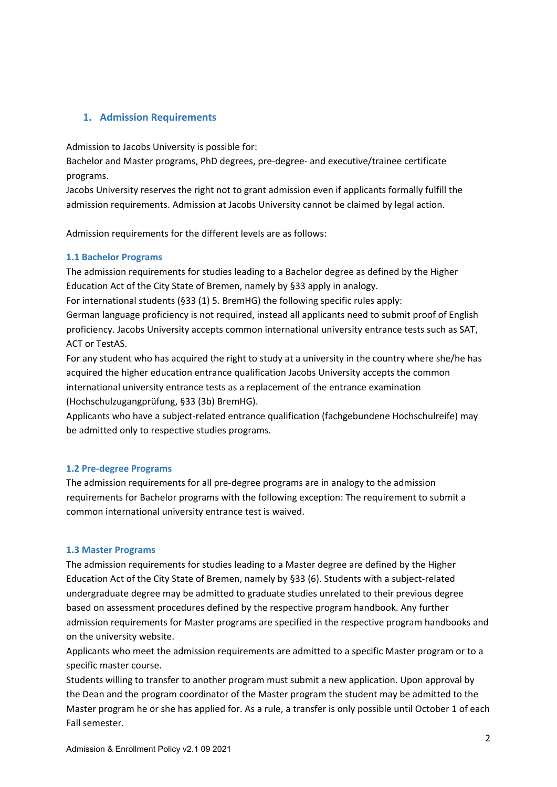# **1. Admission Requirements**

Admission to Jacobs University is possible for:

Bachelor and Master programs, PhD degrees, pre‐degree‐ and executive/trainee certificate programs.

Jacobs University reserves the right not to grant admission even if applicants formally fulfill the admission requirements. Admission at Jacobs University cannot be claimed by legal action.

Admission requirements for the different levels are as follows:

#### **1.1 Bachelor Programs**

The admission requirements for studies leading to a Bachelor degree as defined by the Higher Education Act of the City State of Bremen, namely by §33 apply in analogy.

For international students (§33 (1) 5. BremHG) the following specific rules apply:

German language proficiency is not required, instead all applicants need to submit proof of English proficiency. Jacobs University accepts common international university entrance tests such as SAT, ACT or TestAS.

For any student who has acquired the right to study at a university in the country where she/he has acquired the higher education entrance qualification Jacobs University accepts the common international university entrance tests as a replacement of the entrance examination (Hochschulzugangprüfung, §33 (3b) BremHG).

Applicants who have a subject-related entrance qualification (fachgebundene Hochschulreife) may be admitted only to respective studies programs.

#### **1.2 Pre‐degree Programs**

The admission requirements for all pre‐degree programs are in analogy to the admission requirements for Bachelor programs with the following exception: The requirement to submit a common international university entrance test is waived.

#### **1.3 Master Programs**

The admission requirements for studies leading to a Master degree are defined by the Higher Education Act of the City State of Bremen, namely by §33 (6). Students with a subject‐related undergraduate degree may be admitted to graduate studies unrelated to their previous degree based on assessment procedures defined by the respective program handbook. Any further admission requirements for Master programs are specified in the respective program handbooks and on the university website.

Applicants who meet the admission requirements are admitted to a specific Master program or to a specific master course.

Students willing to transfer to another program must submit a new application. Upon approval by the Dean and the program coordinator of the Master program the student may be admitted to the Master program he or she has applied for. As a rule, a transfer is only possible until October 1 of each Fall semester.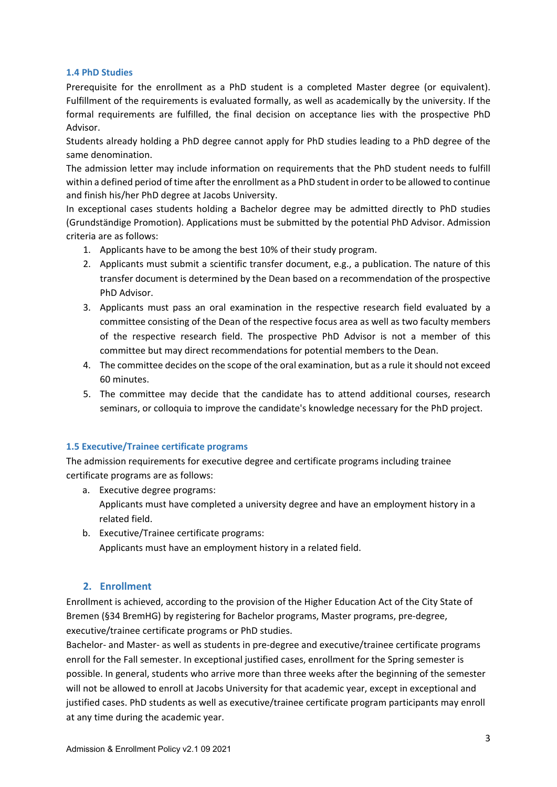#### **1.4 PhD Studies**

Prerequisite for the enrollment as a PhD student is a completed Master degree (or equivalent). Fulfillment of the requirements is evaluated formally, as well as academically by the university. If the formal requirements are fulfilled, the final decision on acceptance lies with the prospective PhD Advisor.

Students already holding a PhD degree cannot apply for PhD studies leading to a PhD degree of the same denomination.

The admission letter may include information on requirements that the PhD student needs to fulfill within a defined period of time after the enrollment as a PhD student in order to be allowed to continue and finish his/her PhD degree at Jacobs University.

In exceptional cases students holding a Bachelor degree may be admitted directly to PhD studies (Grundständige Promotion). Applications must be submitted by the potential PhD Advisor. Admission criteria are as follows:

- 1. Applicants have to be among the best 10% of their study program.
- 2. Applicants must submit a scientific transfer document, e.g., a publication. The nature of this transfer document is determined by the Dean based on a recommendation of the prospective PhD Advisor.
- 3. Applicants must pass an oral examination in the respective research field evaluated by a committee consisting of the Dean of the respective focus area as well as two faculty members of the respective research field. The prospective PhD Advisor is not a member of this committee but may direct recommendations for potential members to the Dean.
- 4. The committee decides on the scope of the oral examination, but as a rule it should not exceed 60 minutes.
- 5. The committee may decide that the candidate has to attend additional courses, research seminars, or colloquia to improve the candidate's knowledge necessary for the PhD project.

#### **1.5 Executive/Trainee certificate programs**

The admission requirements for executive degree and certificate programs including trainee certificate programs are as follows:

- a. Executive degree programs: Applicants must have completed a university degree and have an employment history in a related field.
- b. Executive/Trainee certificate programs: Applicants must have an employment history in a related field.

# **2. Enrollment**

Enrollment is achieved, according to the provision of the Higher Education Act of the City State of Bremen (§34 BremHG) by registering for Bachelor programs, Master programs, pre‐degree, executive/trainee certificate programs or PhD studies.

Bachelor- and Master- as well as students in pre-degree and executive/trainee certificate programs enroll for the Fall semester. In exceptional justified cases, enrollment for the Spring semester is possible. In general, students who arrive more than three weeks after the beginning of the semester will not be allowed to enroll at Jacobs University for that academic year, except in exceptional and justified cases. PhD students as well as executive/trainee certificate program participants may enroll at any time during the academic year.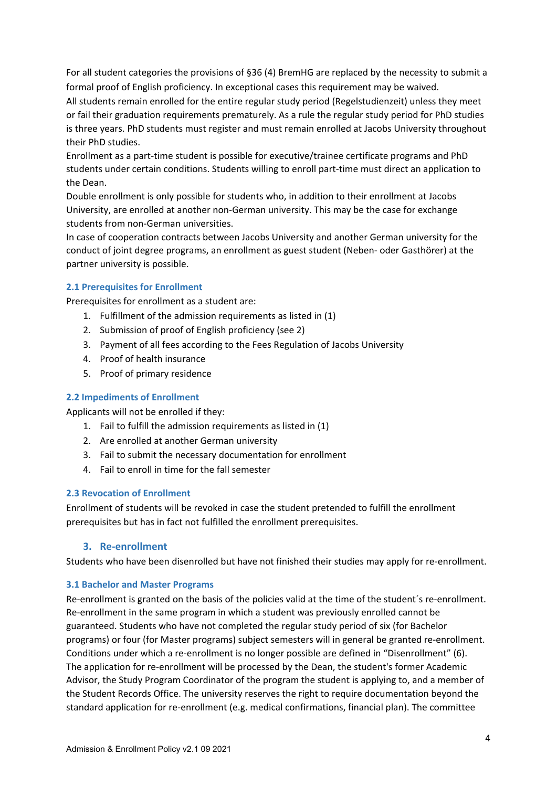For all student categories the provisions of §36 (4) BremHG are replaced by the necessity to submit a formal proof of English proficiency. In exceptional cases this requirement may be waived.

All students remain enrolled for the entire regular study period (Regelstudienzeit) unless they meet or fail their graduation requirements prematurely. As a rule the regular study period for PhD studies is three years. PhD students must register and must remain enrolled at Jacobs University throughout their PhD studies.

Enrollment as a part‐time student is possible for executive/trainee certificate programs and PhD students under certain conditions. Students willing to enroll part‐time must direct an application to the Dean.

Double enrollment is only possible for students who, in addition to their enrollment at Jacobs University, are enrolled at another non‐German university. This may be the case for exchange students from non‐German universities.

In case of cooperation contracts between Jacobs University and another German university for the conduct of joint degree programs, an enrollment as guest student (Neben‐ oder Gasthörer) at the partner university is possible.

#### **2.1 Prerequisites for Enrollment**

Prerequisites for enrollment as a student are:

- 1. Fulfillment of the admission requirements as listed in (1)
- 2. Submission of proof of English proficiency (see 2)
- 3. Payment of all fees according to the Fees Regulation of Jacobs University
- 4. Proof of health insurance
- 5. Proof of primary residence

### **2.2 Impediments of Enrollment**

Applicants will not be enrolled if they:

- 1. Fail to fulfill the admission requirements as listed in (1)
- 2. Are enrolled at another German university
- 3. Fail to submit the necessary documentation for enrollment
- 4. Fail to enroll in time for the fall semester

#### **2.3 Revocation of Enrollment**

Enrollment of students will be revoked in case the student pretended to fulfill the enrollment prerequisites but has in fact not fulfilled the enrollment prerequisites.

# **3. Re‐enrollment**

Students who have been disenrolled but have not finished their studies may apply for re‐enrollment.

#### **3.1 Bachelor and Master Programs**

Re-enrollment is granted on the basis of the policies valid at the time of the student's re-enrollment. Re-enrollment in the same program in which a student was previously enrolled cannot be guaranteed. Students who have not completed the regular study period of six (for Bachelor programs) or four (for Master programs) subject semesters will in general be granted re‐enrollment. Conditions under which a re‐enrollment is no longer possible are defined in "Disenrollment" (6). The application for re-enrollment will be processed by the Dean, the student's former Academic Advisor, the Study Program Coordinator of the program the student is applying to, and a member of the Student Records Office. The university reserves the right to require documentation beyond the standard application for re‐enrollment (e.g. medical confirmations, financial plan). The committee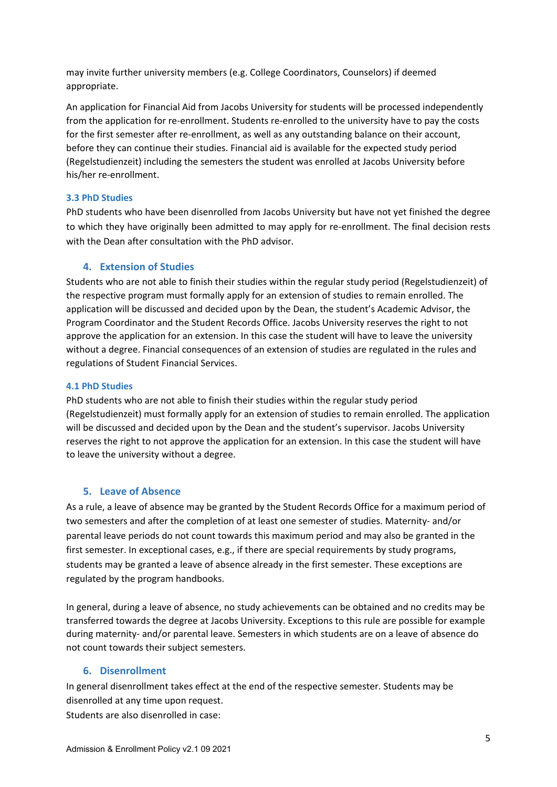may invite further university members (e.g. College Coordinators, Counselors) if deemed appropriate.

An application for Financial Aid from Jacobs University for students will be processed independently from the application for re-enrollment. Students re-enrolled to the university have to pay the costs for the first semester after re-enrollment, as well as any outstanding balance on their account, before they can continue their studies. Financial aid is available for the expected study period (Regelstudienzeit) including the semesters the student was enrolled at Jacobs University before his/her re‐enrollment.

#### **3.3 PhD Studies**

PhD students who have been disenrolled from Jacobs University but have not yet finished the degree to which they have originally been admitted to may apply for re-enrollment. The final decision rests with the Dean after consultation with the PhD advisor.

# **4. Extension of Studies**

Students who are not able to finish their studies within the regular study period (Regelstudienzeit) of the respective program must formally apply for an extension of studies to remain enrolled. The application will be discussed and decided upon by the Dean, the student's Academic Advisor, the Program Coordinator and the Student Records Office. Jacobs University reserves the right to not approve the application for an extension. In this case the student will have to leave the university without a degree. Financial consequences of an extension of studies are regulated in the rules and regulations of Student Financial Services.

#### **4.1 PhD Studies**

PhD students who are not able to finish their studies within the regular study period (Regelstudienzeit) must formally apply for an extension of studies to remain enrolled. The application will be discussed and decided upon by the Dean and the student's supervisor. Jacobs University reserves the right to not approve the application for an extension. In this case the student will have to leave the university without a degree.

# **5. Leave of Absence**

As a rule, a leave of absence may be granted by the Student Records Office for a maximum period of two semesters and after the completion of at least one semester of studies. Maternity‐ and/or parental leave periods do not count towards this maximum period and may also be granted in the first semester. In exceptional cases, e.g., if there are special requirements by study programs, students may be granted a leave of absence already in the first semester. These exceptions are regulated by the program handbooks.

In general, during a leave of absence, no study achievements can be obtained and no credits may be transferred towards the degree at Jacobs University. Exceptions to this rule are possible for example during maternity‐ and/or parental leave. Semesters in which students are on a leave of absence do not count towards their subject semesters.

# **6. Disenrollment**

In general disenrollment takes effect at the end of the respective semester. Students may be disenrolled at any time upon request. Students are also disenrolled in case: